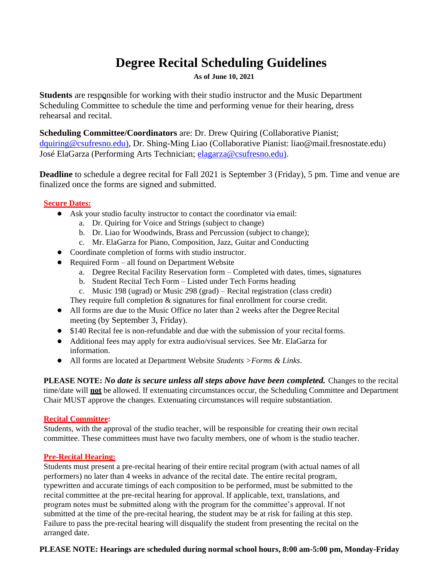# **Degree Recital Scheduling Guidelines**

**As of June 10, 2021**

**Students** are responsible for working with their studio instructor and the Music Department Scheduling Committee to schedule the time and performing venue for their hearing, dress rehearsal and recital.

**Scheduling Committee/Coordinators** are: Dr. Drew Quiring (Collaborative Pianist; [dquiring@csufresno.edu\),](mailto:dquiring@csufresno.edu)) Dr. Shing-Ming Liao (Collaborative Pianist: liao@mail.fresnostate.edu) José ElaGarza (Performing Arts Technician; [elagarza@csufresno.edu\).](mailto:elagarza@csufresno.edu))

**Deadline** to schedule a degree recital for Fall 2021 is September 3 (Friday), 5 pm. Time and venue are finalized once the forms are signed and submitted.

## **Secure Dates:**

- Ask your studio faculty instructor to contact the coordinator via email:
	- a. Dr. Quiring for Voice and Strings (subject to change)
	- b. Dr. Liao for Woodwinds, Brass and Percussion (subject to change);
	- c. Mr. ElaGarza for Piano, Composition, Jazz, Guitar and Conducting
- Coordinate completion of forms with studio instructor.
- Required Form all found on Department Website
	- a. Degree Recital Facility Reservation form Completed with dates, times, signatures
	- b. Student Recital Tech Form Listed under Tech Forms heading
	- c. Music 198 (ugrad) or Music 298 (grad) Recital registration (class credit)
	- They require full completion  $\&$  signatures for final enrollment for course credit.
- All forms are due to the Music Office no later than 2 weeks after the Degree Recital meeting (by September 3, Friday).
- \$140 Recital fee is non-refundable and due with the submission of your recital forms.
- Additional fees may apply for extra audio/visual services. See Mr. ElaGarza for information.
- All forms are located at Department Website *Students >Forms & Links*.

**PLEASE NOTE:** *No date is secure unless all steps above have been completed.* Changes to the recital time/date will **not** be allowed. If extenuating circumstances occur, the Scheduling Committee and Department Chair MUST approve the changes. Extenuating circumstances will require substantiation.

## **Recital Committee:**

Students, with the approval of the studio teacher, will be responsible for creating their own recital committee. These committees must have two faculty members, one of whom is the studio teacher.

## **Pre-Recital Hearing:**

Students must present a pre-recital hearing of their entire recital program (with actual names of all performers) no later than 4 weeks in advance of the recital date. The entire recital program, typewritten and accurate timings of each composition to be performed, must be submitted to the recital committee at the pre-recital hearing for approval. If applicable, text, translations, and program notes must be submitted along with the program for the committee's approval. If not submitted at the time of the pre-recital hearing, the student may be at risk for failing at this step. Failure to pass the pre-recital hearing will disqualify the student from presenting the recital on the arranged date.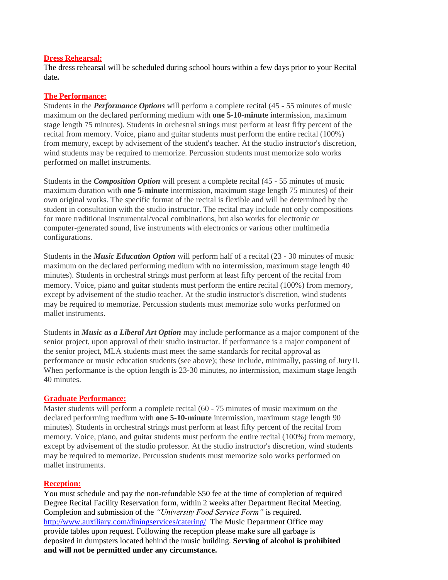#### **Dress Rehearsal:**

The dress rehearsal will be scheduled during school hours within a few days prior to your Recital date**.**

#### **The Performance:**

Students in the *Performance Options* will perform a complete recital (45 - 55 minutes of music maximum on the declared performing medium with **one 5-10-minute** intermission, maximum stage length 75 minutes). Students in orchestral strings must perform at least fifty percent of the recital from memory. Voice, piano and guitar students must perform the entire recital (100%) from memory, except by advisement of the student's teacher. At the studio instructor's discretion, wind students may be required to memorize. Percussion students must memorize solo works performed on mallet instruments.

Students in the *Composition Option* will present a complete recital (45 - 55 minutes of music maximum duration with **one 5-minute** intermission, maximum stage length 75 minutes) of their own original works. The specific format of the recital is flexible and will be determined by the student in consultation with the studio instructor. The recital may include not only compositions for more traditional instrumental/vocal combinations, but also works for electronic or computer-generated sound, live instruments with electronics or various other multimedia configurations.

Students in the *Music Education Option* will perform half of a recital (23 - 30 minutes of music maximum on the declared performing medium with no intermission, maximum stage length 40 minutes). Students in orchestral strings must perform at least fifty percent of the recital from memory. Voice, piano and guitar students must perform the entire recital (100%) from memory, except by advisement of the studio teacher. At the studio instructor's discretion, wind students may be required to memorize. Percussion students must memorize solo works performed on mallet instruments.

Students in *Music as a Liberal Art Option* may include performance as a major component of the senior project, upon approval of their studio instructor. If performance is a major component of the senior project, MLA students must meet the same standards for recital approval as performance or music education students (see above); these include, minimally, passing of JuryII. When performance is the option length is 23-30 minutes, no intermission, maximum stage length 40 minutes.

#### **Graduate Performance:**

Master students will perform a complete recital (60 - 75 minutes of music maximum on the declared performing medium with **one 5-10-minute** intermission, maximum stage length 90 minutes). Students in orchestral strings must perform at least fifty percent of the recital from memory. Voice, piano, and guitar students must perform the entire recital (100%) from memory, except by advisement of the studio professor. At the studio instructor's discretion, wind students may be required to memorize. Percussion students must memorize solo works performed on mallet instruments.

#### **Reception:**

You must schedule and pay the non-refundable \$50 fee at the time of completion of required Degree Recital Facility Reservation form, within 2 weeks after Department Recital Meeting. Completion and submission of the *"University Food Service Form"* is required. <http://www.auxiliary.com/diningservices/catering/> The Music Department Office may provide tables upon request. Following the reception please make sure all garbage is deposited in dumpsters located behind the music building. **Serving of alcohol is prohibited and will not be permitted under any circumstance.**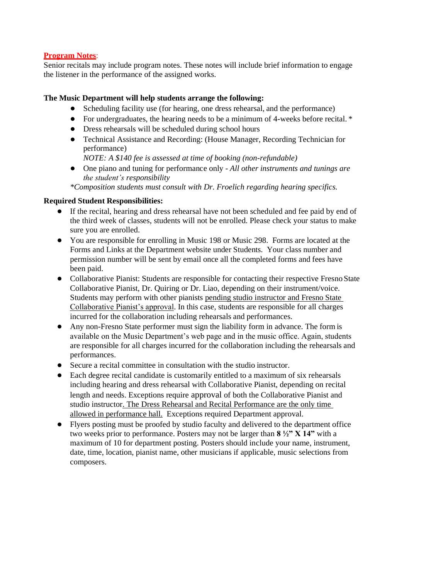#### **Program Notes**:

Senior recitals may include program notes. These notes will include brief information to engage the listener in the performance of the assigned works.

#### **The Music Department will help students arrange the following:**

- Scheduling facility use (for hearing, one dress rehearsal, and the performance)
- For undergraduates, the hearing needs to be a minimum of 4-weeks before recital.  $*$
- Dress rehearsals will be scheduled during school hours
- Technical Assistance and Recording: (House Manager, Recording Technician for performance)
	- *NOTE: A \$140 fee is assessed at time of booking (non-refundable)*
- One piano and tuning for performance only *All other instruments and tunings are the student's responsibility*

*\*Composition students must consult with Dr. Froelich regarding hearing specifics.*

#### **Required Student Responsibilities:**

- If the recital, hearing and dress rehearsal have not been scheduled and fee paid by end of the third week of classes, students will not be enrolled. Please check your status to make sure you are enrolled.
- You are responsible for enrolling in Music 198 or Music 298. Forms are located at the Forms and Links at the Department website under Students. Your class number and permission number will be sent by email once all the completed forms and fees have been paid.
- Collaborative Pianist: Students are responsible for contacting their respective Fresno State Collaborative Pianist, Dr. Quiring or Dr. Liao, depending on their instrument/voice. Students may perform with other pianists pending studio instructor and Fresno State Collaborative Pianist's approval. In this case, students are responsible for all charges incurred for the collaboration including rehearsals and performances.
- Any non-Fresno State performer must sign the liability form in advance. The form is available on the Music Department's web page and in the music office. Again, students are responsible for all charges incurred for the collaboration including the rehearsals and performances.
- Secure a recital committee in consultation with the studio instructor.
- Each degree recital candidate is customarily entitled to a maximum of six rehearsals including hearing and dress rehearsal with Collaborative Pianist, depending on recital length and needs. Exceptions require approval of both the Collaborative Pianist and studio instructor. The Dress Rehearsal and Recital Performance are the only time allowed in performance hall. Exceptions required Department approval.
- Flyers posting must be proofed by studio faculty and delivered to the department office two weeks prior to performance. Posters may not be larger than **8 ½" X 14"** with a maximum of 10 for department posting. Posters should include your name, instrument, date, time, location, pianist name, other musicians if applicable, music selections from composers.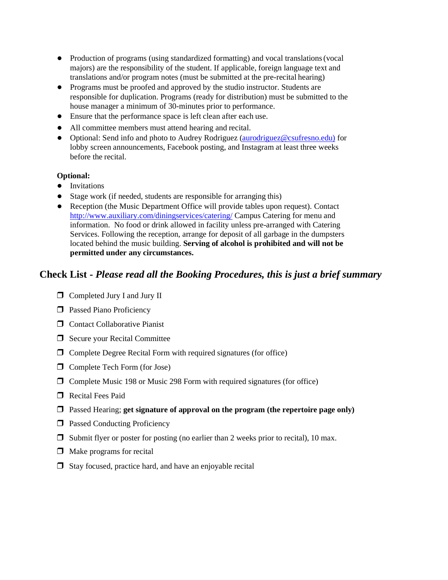- Production of programs (using standardized formatting) and vocal translations(vocal majors) are the responsibility of the student. If applicable, foreign language text and translations and/or program notes (must be submitted at the pre-recital hearing)
- Programs must be proofed and approved by the studio instructor. Students are responsible for duplication. Programs (ready for distribution) must be submitted to the house manager a minimum of 30-minutes prior to performance.
- Ensure that the performance space is left clean after each use.
- All committee members must attend hearing and recital.
- Optional: Send info and photo to Audrey Rodriguez [\(aurodriguez@csufresno.edu\)](mailto:aurodriguez@csufresno.edu)) for lobby screen announcements, Facebook posting, and Instagram at least three weeks before the recital.

#### **Optional:**

- Invitations
- Stage work (if needed, students are responsible for arranging this)
- Reception (the Music Department Office will provide tables upon request). Contact <http://www.auxiliary.com/diningservices/catering/> Campus Catering for menu and information. No food or drink allowed in facility unless pre-arranged with Catering Services. Following the reception, arrange for deposit of all garbage in the dumpsters located behind the music building. **Serving of alcohol is prohibited and will not be permitted under any circumstances.**

## **Check List -** *Please read all the Booking Procedures, this is just a brief summary*

- ❒ Completed Jury I and Jury II
- ❒ Passed Piano Proficiency
- ❒ Contact Collaborative Pianist
- ❒ Secure your Recital Committee
- ❒ Complete Degree Recital Form with required signatures (for office)
- ❒ Complete Tech Form (for Jose)
- ❒ Complete Music 198 or Music 298 Form with required signatures (for office)
- ❒ Recital Fees Paid
- ❒ Passed Hearing; **get signature of approval on the program (the repertoire page only)**
- ❒ Passed Conducting Proficiency
- $\Box$  Submit flyer or poster for posting (no earlier than 2 weeks prior to recital), 10 max.
- $\Box$  Make programs for recital
- ❒ Stay focused, practice hard, and have an enjoyable recital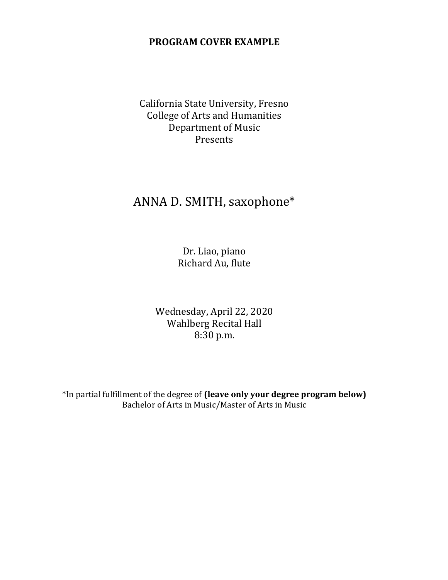## **PROGRAM COVER EXAMPLE**

California State University, Fresno College of Arts and Humanities Department of Music Presents

# ANNA D. SMITH, saxophone\*

Dr. Liao, piano Richard Au, flute

Wednesday, April 22, 2020 Wahlberg Recital Hall 8:30 p.m.

\*In partial fulfillment of the degree of **(leave only your degree program below)** Bachelor of Arts in Music/Master of Arts in Music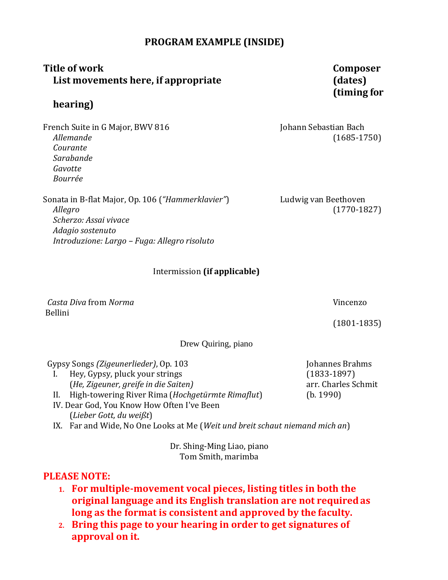## **PROGRAM EXAMPLE (INSIDE)**

## **Title of work Composer List movements here, if appropriate (dates)**

## **hearing)**

French Suite in G Major, BWV 816 **Johann Sebastian Bach** Johann Sebastian Bach *Allemande* (1685-1750) *Courante Sarabande Gavotte Bourrée*

Sonata in B-flat Major, Op. 106 (*"Hammerklavier"*) Ludwig van Beethoven *Allegro* (1770-1827) *Scherzo: Assai vivace Adagio sostenuto Introduzione: Largo – Fuga: Allegro risoluto*

## Intermission **(if applicable)**

*Casta Diva* from *Norma* Vincenzo Bellini

Drew Quiring, piano

Gypsy Songs *(Zigeunerlieder)*, Op. 103 Johannes Brahms I. Hey, Gypsy, pluck your strings (1833-1897) (*He, Zigeuner, greife in die Saiten)* arr. Charles Schmit

II. High-towering River Rima (*Hochgetürmte Rimaflut*) (b. 1990)

IV. Dear God, You Know How Often I've Been (*Lieber Gott, du weißt*)

IX. Far and Wide, No One Looks at Me (*Weit und breit schaut niemand mich an*)

Dr. Shing-Ming Liao, piano Tom Smith, marimba

## **PLEASE NOTE:**

- **1. For multiple-movement vocal pieces, listing titles in both the original language and its English translation are not requiredas long as the format is consistent and approved by the faculty.**
- **2. Bring this page to your hearing in order to get signatures of approval on it.**

# **(timing for**

(1801-1835)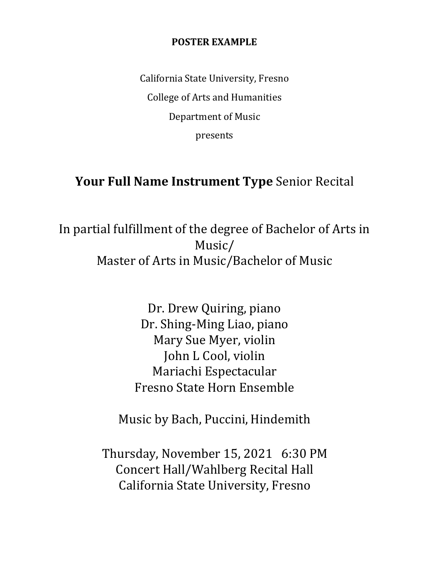## **POSTER EXAMPLE**

California State University, Fresno College of Arts and Humanities Department of Music presents

## **Your Full Name Instrument Type** Senior Recital

In partial fulfillment of the degree of Bachelor of Arts in Music/ Master of Arts in Music/Bachelor of Music

> Dr. Drew Quiring, piano Dr. Shing-Ming Liao, piano Mary Sue Myer, violin John L Cool, violin Mariachi Espectacular Fresno State Horn Ensemble

Music by Bach, Puccini, Hindemith

Thursday, November 15, 2021 6:30 PM Concert Hall/Wahlberg Recital Hall California State University, Fresno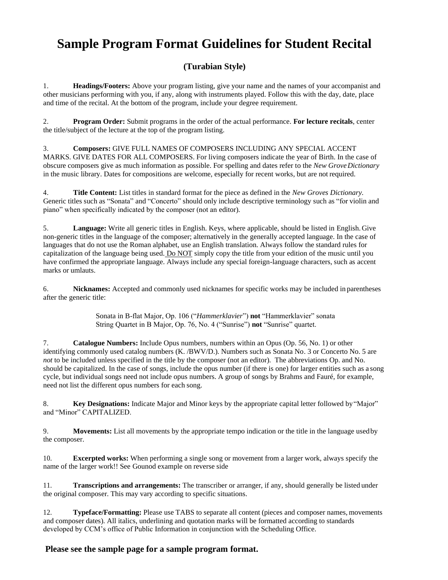# **Sample Program Format Guidelines for Student Recital**

## **(Turabian Style)**

1. **Headings/Footers:** Above your program listing, give your name and the names of your accompanist and other musicians performing with you, if any, along with instruments played. Follow this with the day, date, place and time of the recital. At the bottom of the program, include your degree requirement.

2. **Program Order:** Submit programs in the order of the actual performance. **For lecture recitals**, center the title/subject of the lecture at the top of the program listing.

3. **Composers:** GIVE FULL NAMES OF COMPOSERS INCLUDING ANY SPECIAL ACCENT MARKS. GIVE DATES FOR ALL COMPOSERS. For living composers indicate the year of Birth. In the case of obscure composers give as much information as possible. For spelling and dates refer to the *New GroveDictionary*  in the music library. Dates for compositions are welcome, especially for recent works, but are not required.

4. **Title Content:** List titles in standard format for the piece as defined in the *New Groves Dictionary.*  Generic titles such as "Sonata" and "Concerto" should only include descriptive terminology such as "for violin and piano" when specifically indicated by the composer (not an editor).

5. **Language:** Write all generic titles in English. Keys, where applicable, should be listed in English. Give non-generic titles in the language of the composer; alternatively in the generally accepted language. In the case of languages that do not use the Roman alphabet, use an English translation. Always follow the standard rules for capitalization of the language being used. Do NOT simply copy the title from your edition of the music until you have confirmed the appropriate language. Always include any special foreign-language characters, such as accent marks or umlauts.

6. **Nicknames:** Accepted and commonly used nicknames for specific works may be included in parentheses after the generic title:

> Sonata in B-flat Major, Op. 106 ("*Hammerklavier*") **not** "Hammerklavier" sonata String Quartet in B Major, Op. 76, No. 4 ("Sunrise") **not** "Sunrise" quartet.

7. **Catalogue Numbers:** Include Opus numbers, numbers within an Opus (Op. 56, No. 1) or other identifying commonly used catalog numbers (K. /BWV/D.). Numbers such as Sonata No. 3 or Concerto No. 5 are *not* to be included unless specified in the title by the composer (not an editor). The abbreviations Op. and No. should be capitalized. In the case of songs, include the opus number (if there is one) for larger entities such as a song cycle, but individual songs need not include opus numbers. A group of songs by Brahms and Fauré, for example, need not list the different opus numbers for each song.

8. **Key Designations:** Indicate Major and Minor keys by the appropriate capital letter followed by"Major" and "Minor" CAPITALIZED.

9. **Movements:** List all movements by the appropriate tempo indication or the title in the language usedby the composer.

10. **Excerpted works:** When performing a single song or movement from a larger work, always specify the name of the larger work!! See Gounod example on reverse side

11. **Transcriptions and arrangements:** The transcriber or arranger, if any, should generally be listed under the original composer. This may vary according to specific situations.

12. **Typeface/Formatting:** Please use TABS to separate all content (pieces and composer names, movements and composer dates). All italics, underlining and quotation marks will be formatted according to standards developed by CCM's office of Public Information in conjunction with the Scheduling Office.

## **Please see the sample page for a sample program format.**